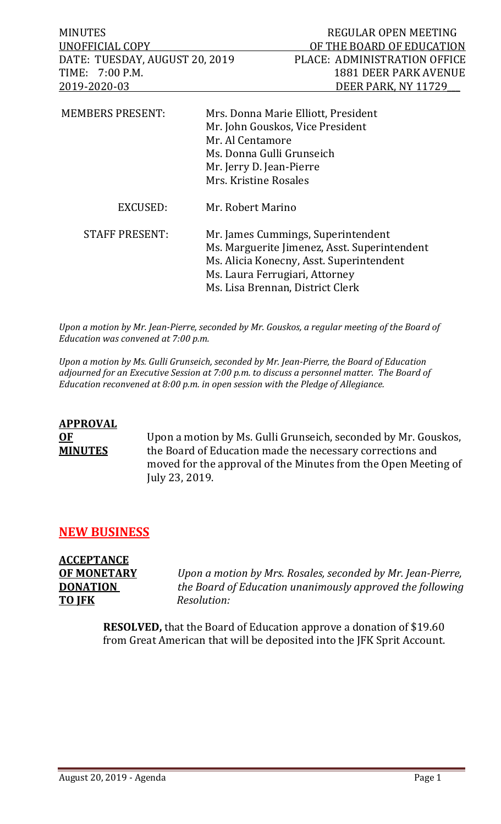| <b>MINUTES</b>                 |                                              | REGULAR OPEN MEETING               |  |
|--------------------------------|----------------------------------------------|------------------------------------|--|
| UNOFFICIAL COPY                |                                              | OF THE BOARD OF EDUCATION          |  |
| DATE: TUESDAY, AUGUST 20, 2019 |                                              | PLACE: ADMINISTRATION OFFICE       |  |
| $7:00$ P.M.<br>TIME:           |                                              | <b>1881 DEER PARK AVENUE</b>       |  |
| 2019-2020-03                   |                                              | DEER PARK, NY 11729                |  |
| <b>MEMBERS PRESENT:</b>        | Mrs. Donna Marie Elliott, President          |                                    |  |
|                                | Mr. John Gouskos, Vice President             |                                    |  |
|                                | Mr. Al Centamore                             |                                    |  |
|                                | Ms. Donna Gulli Grunseich                    |                                    |  |
|                                | Mr. Jerry D. Jean-Pierre                     |                                    |  |
|                                |                                              | Mrs. Kristine Rosales              |  |
| EXCUSED:                       | Mr. Robert Marino                            |                                    |  |
| <b>STAFF PRESENT:</b>          |                                              | Mr. James Cummings, Superintendent |  |
|                                | Ms. Marguerite Jimenez, Asst. Superintendent |                                    |  |
|                                | Ms. Alicia Konecny, Asst. Superintendent     |                                    |  |
|                                | Ms. Laura Ferrugiari, Attorney               |                                    |  |
|                                | Ms. Lisa Brennan, District Clerk             |                                    |  |
|                                |                                              |                                    |  |

*Upon a motion by Mr. Jean-Pierre, seconded by Mr. Gouskos, a regular meeting of the Board of Education was convened at 7:00 p.m.*

*Upon a motion by Ms. Gulli Grunseich, seconded by Mr. Jean-Pierre, the Board of Education adjourned for an Executive Session at 7:00 p.m. to discuss a personnel matter. The Board of Education reconvened at 8:00 p.m. in open session with the Pledge of Allegiance.*

# **APPROVAL OF** Upon a motion by Ms. Gulli Grunseich, seconded by Mr. Gouskos,<br>**MINUTES** the Board of Education made the necessary corrections and the Board of Education made the necessary corrections and moved for the approval of the Minutes from the Open Meeting of July 23, 2019.

# **NEW BUSINESS**

**ACCEPTANCE TO JFK** *Resolution:*

**OF MONETARY** *Upon a motion by Mrs. Rosales, seconded by Mr. Jean-Pierre,*  **DONATION** *the Board of Education unanimously approved the following* 

> **RESOLVED,** that the Board of Education approve a donation of \$19.60 from Great American that will be deposited into the JFK Sprit Account.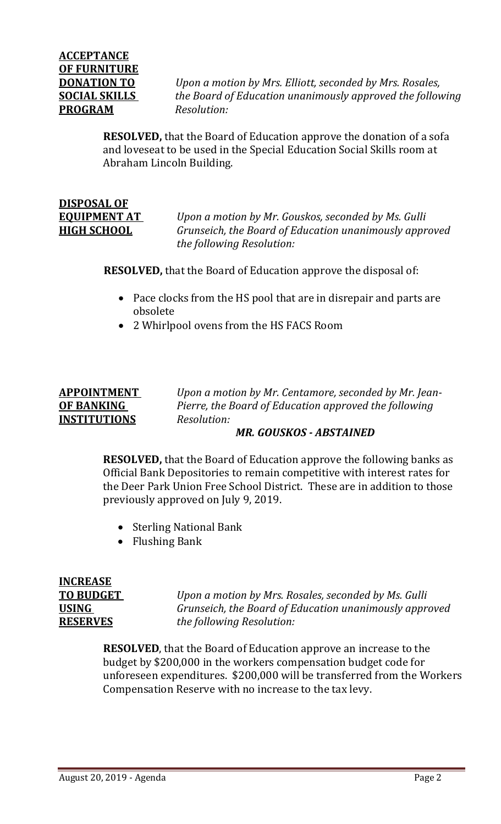**DONATION TO** *Upon a motion by Mrs. Elliott, seconded by Mrs. Rosales,*  **SOCIAL SKILLS** *the Board of Education unanimously approved the following* 

> **RESOLVED,** that the Board of Education approve the donation of a sofa and loveseat to be used in the Special Education Social Skills room at Abraham Lincoln Building.

# **DISPOSAL OF**

**EQUIPMENT AT** *Upon a motion by Mr. Gouskos, seconded by Ms. Gulli*  **HIGH SCHOOL** *Grunseich, the Board of Education unanimously approved the following Resolution:*

**RESOLVED,** that the Board of Education approve the disposal of:

- Pace clocks from the HS pool that are in disrepair and parts are obsolete
- 2 Whirlpool ovens from the HS FACS Room

# **INSTITUTIONS** *Resolution:*

**APPOINTMENT** *Upon a motion by Mr. Centamore, seconded by Mr. Jean-***OF BANKING** *Pierre, the Board of Education approved the following* 

# *MR. GOUSKOS - ABSTAINED*

**RESOLVED,** that the Board of Education approve the following banks as Official Bank Depositories to remain competitive with interest rates for the Deer Park Union Free School District. These are in addition to those previously approved on July 9, 2019.

- Sterling National Bank
- Flushing Bank

# **INCREASE**

**TO BUDGET** *Upon a motion by Mrs. Rosales, seconded by Ms. Gulli* **USING** *Grunseich, the Board of Education unanimously approved* **RESERVES** *the following Resolution:*

> **RESOLVED**, that the Board of Education approve an increase to the budget by \$200,000 in the workers compensation budget code for unforeseen expenditures. \$200,000 will be transferred from the Workers Compensation Reserve with no increase to the tax levy.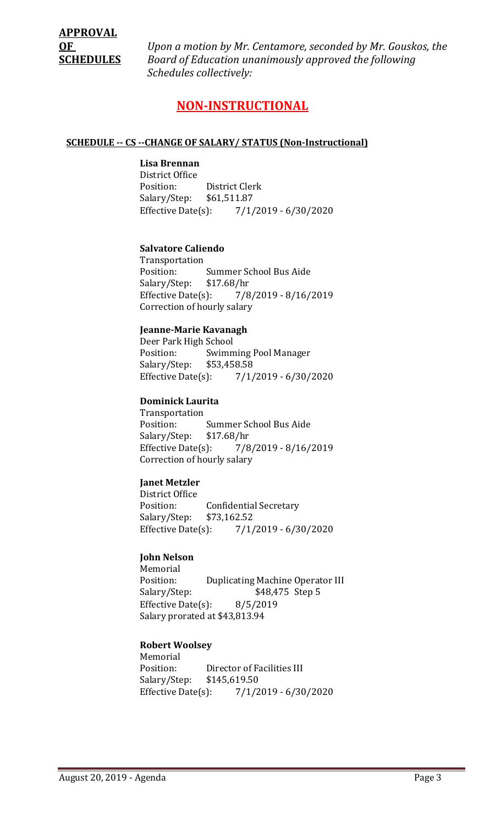**OF** *Upon a motion by Mr. Centamore, seconded by Mr. Gouskos, the*  **SCHEDULES** *Board of Education unanimously approved the following Schedules collectively:*

# **NON-INSTRUCTIONAL**

#### **SCHEDULE -- CS --CHANGE OF SALARY/ STATUS (Non-Instructional)**

# **Lisa Brennan**

District Office District Clerk<br>\$61,511.87 Salary/Step: Effective Date(s): 7/1/2019 - 6/30/2020

#### **Salvatore Caliendo**

Transportation Summer School Bus Aide<br>\$17.68/hr Salary/Step: Effective Date(s): 7/8/2019 - 8/16/2019 Correction of hourly salary

#### **Jeanne-Marie Kavanagh**

Deer Park High School<br>Position: Swimm Swimming Pool Manager<br>\$53,458.58 Salary/Step: Effective Date(s): 7/1/2019 - 6/30/2020

#### **Dominick Laurita**

Transportation Summer School Bus Aide<br>\$17.68/hr Salary/Step: \$1<br>Effective Date(s): Effective Date(s): 7/8/2019 - 8/16/2019 Correction of hourly salary

#### **Janet Metzler**

District Office Confidential Secretary<br>\$73,162.52 Salary/Step: Effective Date(s): 7/1/2019 - 6/30/2020

#### **John Nelson**

Memorial<br>Position: Position: Duplicating Machine Operator III<br>Salary/Step: \$48,475 Step 5 \$48,475 Step 5 Effective Date(s): 8/5/2019 Salary prorated at \$43,813.94

#### **Robert Woolsey**

Memorial<br>Position: Director of Facilities III<br>\$145,619.50 Salary/Step: Effective Date(s): 7/1/2019 - 6/30/2020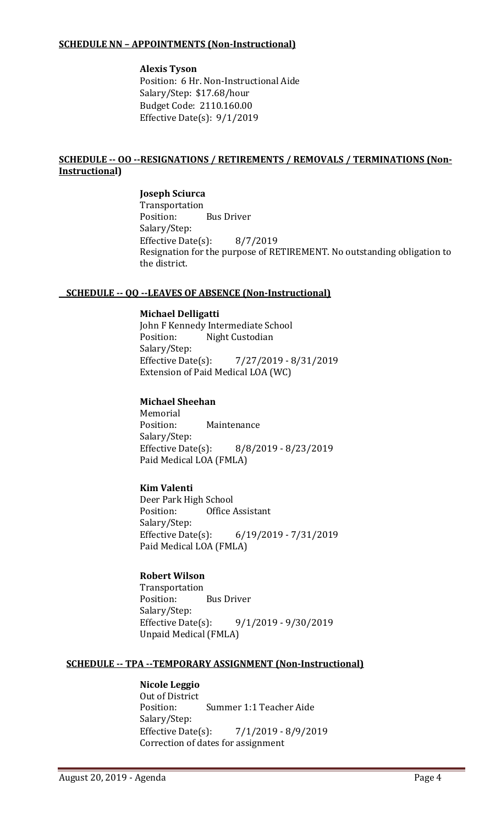## **SCHEDULE NN – APPOINTMENTS (Non-Instructional)**

# **Alexis Tyson** Position: 6 Hr. Non-Instructional Aide

Salary/Step: \$17.68/hour Budget Code: 2110.160.00 Effective Date(s): 9/1/2019

# **SCHEDULE -- OO --RESIGNATIONS / RETIREMENTS / REMOVALS / TERMINATIONS (Non-Instructional)**

# **Joseph Sciurca** Transportation<br>Position: **Bus Driver** Salary/Step: Effective Date(s): 8/7/2019 Resignation for the purpose of RETIREMENT. No outstanding obligation to the district.

# **SCHEDULE -- QQ --LEAVES OF ABSENCE (Non-Instructional)**

# **Michael Delligatti**

John F Kennedy Intermediate School<br>Position: Night Custodian Night Custodian Salary/Step:<br>Effective Date(s): Effective Date(s): 7/27/2019 - 8/31/2019 Extension of Paid Medical LOA (WC)

# **Michael Sheehan**

Memorial<br>Position: Maintenance Salary/Step:<br>Effective Date(s): Effective Date(s): 8/8/2019 - 8/23/2019 Paid Medical LOA (FMLA)

# **Kim Valenti**

Deer Park High School<br>Position: Office **Office Assistant** Salary/Step:<br>Effective Date(s): Effective Date(s): 6/19/2019 - 7/31/2019 Paid Medical LOA (FMLA)

# **Robert Wilson**

Transportation<br>Position: **Bus Driver** Salary/Step: Effective Date(s): 9/1/2019 - 9/30/2019 Unpaid Medical (FMLA)

# **SCHEDULE -- TPA --TEMPORARY ASSIGNMENT (Non-Instructional)**

#### **Nicole Leggio** Out of District<br>Position: Summer 1:1 Teacher Aide Salary/Step:<br>Effective Date(s):  $7/1/2019 - 8/9/2019$ Correction of dates for assignment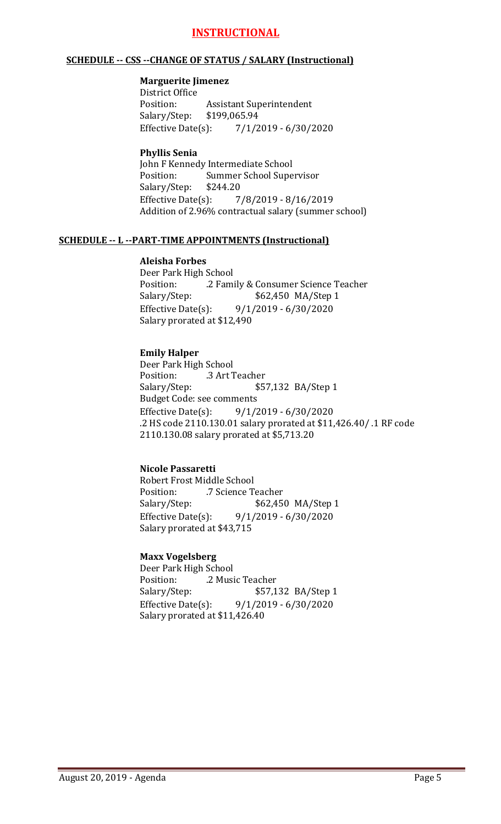# **INSTRUCTIONAL**

#### **SCHEDULE -- CSS --CHANGE OF STATUS / SALARY (Instructional)**

#### **Marguerite Jimenez**

District Office Assistant Superintendent<br>\$199,065.94 Salary/Step: \$1<br>Effective Date(s):  $7/1/2019 - 6/30/2020$ 

#### **Phyllis Senia**

John F Kennedy Intermediate School<br>Position: Summer School Supe Summer School Supervisor<br>\$244.20 Salary/Step: Effective Date(s): 7/8/2019 - 8/16/2019 Addition of 2.96% contractual salary (summer school)

#### **SCHEDULE -- L --PART-TIME APPOINTMENTS (Instructional)**

#### **Aleisha Forbes**

Deer Park High School Position: .2 Family & Consumer Science Teacher Salary/Step: \$62,450 MA/Step 1<br>Effective Date(s): 9/1/2019 - 6/30/2020 Effective Date(s): 9/1/2019 - 6/30/2020 Salary prorated at \$12,490

# **Emily Halper**

Deer Park High School<br>Position: .3 Art 7 Position: .3 Art Teacher<br>Salary/Step: \$5 \$57,132 BA/Step 1 Budget Code: see comments Effective Date(s): 9/1/2019 - 6/30/2020 .2 HS code 2110.130.01 salary prorated at \$11,426.40/ .1 RF code 2110.130.08 salary prorated at \$5,713.20

# **Nicole Passaretti**

Robert Frost Middle School<br>Position: 7 Science T Position: .7 Science Teacher<br>Salary/Step: \$62,450 Salary/Step: \$62,450 MA/Step 1<br>Effective Date(s): 9/1/2019 - 6/30/2020  $9/1/2019 - 6/30/2020$ Salary prorated at \$43,715

# **Maxx Vogelsberg**

Deer Park High School Position: .2 Music Teacher<br>Salary/Step: \$57,1 Salary/Step: \$57,132 BA/Step 1<br>Effective Date(s): 9/1/2019 - 6/30/2020  $9/1/2019 - 6/30/2020$ Salary prorated at \$11,426.40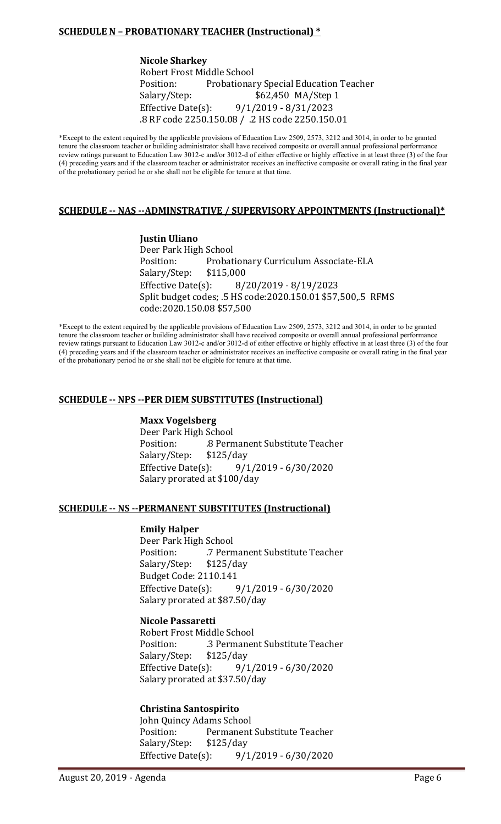# **SCHEDULE N – PROBATIONARY TEACHER (Instructional) \***

**Nicole Sharkey** Robert Frost Middle School<br>Position: Probationar Probationary Special Education Teacher Salary/Step: \$62,450 MA/Step 1 Effective Date(s): 9/1/2019 - 8/31/2023 .8 RF code 2250.150.08 / .2 HS code 2250.150.01

\*Except to the extent required by the applicable provisions of Education Law 2509, 2573, 3212 and 3014, in order to be granted tenure the classroom teacher or building administrator shall have received composite or overall annual professional performance review ratings pursuant to Education Law 3012-c and/or 3012-d of either effective or highly effective in at least three (3) of the four (4) preceding years and if the classroom teacher or administrator receives an ineffective composite or overall rating in the final year of the probationary period he or she shall not be eligible for tenure at that time.

#### **SCHEDULE -- NAS --ADMINSTRATIVE / SUPERVISORY APPOINTMENTS (Instructional)\***

**Justin Uliano** Deer Park High School Probationary Curriculum Associate-ELA<br>\$115,000 Salary/Step: Effective Date(s): 8/20/2019 - 8/19/2023 Split budget codes; .5 HS code:2020.150.01 \$57,500,.5 RFMS code:2020.150.08 \$57,500

\*Except to the extent required by the applicable provisions of Education Law 2509, 2573, 3212 and 3014, in order to be granted tenure the classroom teacher or building administrator shall have received composite or overall annual professional performance review ratings pursuant to Education Law 3012-c and/or 3012-d of either effective or highly effective in at least three (3) of the four (4) preceding years and if the classroom teacher or administrator receives an ineffective composite or overall rating in the final year of the probationary period he or she shall not be eligible for tenure at that time.

#### **SCHEDULE -- NPS --PER DIEM SUBSTITUTES (Instructional)**

#### **Maxx Vogelsberg**

Deer Park High School .8 Permanent Substitute Teacher<br>\$125/day Salary/Step: \$1<br>Effective Date(s): Effective Date(s): 9/1/2019 - 6/30/2020 Salary prorated at \$100/day

#### **SCHEDULE -- NS --PERMANENT SUBSTITUTES (Instructional)**

#### **Emily Halper**

Deer Park High School<br>Position: 7 Perm .7 Permanent Substitute Teacher<br>\$125/day Salary/Step: Budget Code: 2110.141<br>Effective Date(s): Effective Date(s): 9/1/2019 - 6/30/2020 Salary prorated at \$87.50/day

#### **Nicole Passaretti**

Robert Frost Middle School .3 Permanent Substitute Teacher<br>\$125/day Salary/Step: \$1<br>Effective Date(s): Effective Date(s): 9/1/2019 - 6/30/2020 Salary prorated at \$37.50/day

#### **Christina Santospirito**

John Quincy Adams School Permanent Substitute Teacher<br>\$125/day Salary/Step: Effective Date(s): 9/1/2019 - 6/30/2020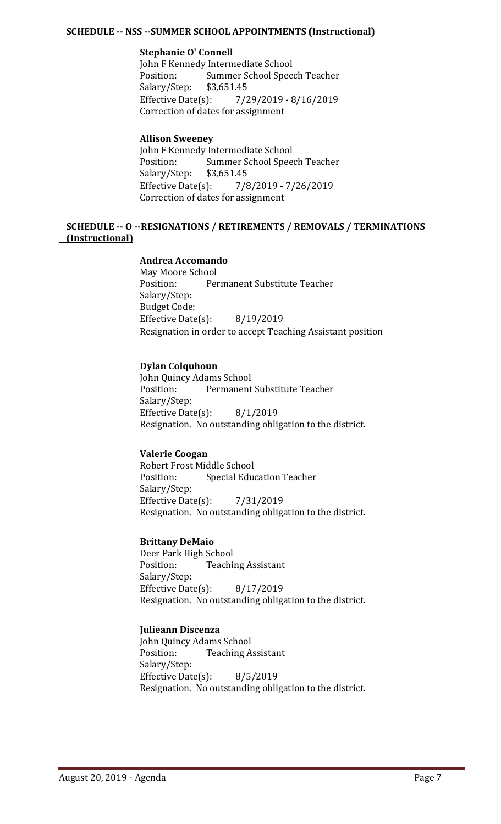# **SCHEDULE -- NSS --SUMMER SCHOOL APPOINTMENTS (Instructional)**

#### **Stephanie O' Connell**

John F Kennedy Intermediate School<br>Position: Summer School Spee Summer School Speech Teacher<br>\$3,651.45 Salary/Step: \$3<br>Effective Date(s): Effective Date(s): 7/29/2019 - 8/16/2019 Correction of dates for assignment

#### **Allison Sweeney**

John F Kennedy Intermediate School<br>Position: Summer School Spee Summer School Speech Teacher<br>\$3.651.45 Salary/Step: \$3<br>Effective Date(s): Effective Date(s): 7/8/2019 - 7/26/2019 Correction of dates for assignment

#### **SCHEDULE -- O --RESIGNATIONS / RETIREMENTS / REMOVALS / TERMINATIONS (Instructional)**

#### **Andrea Accomando**

May Moore School<br>Position: Per Permanent Substitute Teacher Salary/Step: Budget Code: Effective Date(s): 8/19/2019 Resignation in order to accept Teaching Assistant position

#### **Dylan Colquhoun**

John Quincy Adams School<br>Position: Permanent Permanent Substitute Teacher Salary/Step: Effective Date(s): 8/1/2019 Resignation. No outstanding obligation to the district.

# **Valerie Coogan**

Robert Frost Middle School<br>Position: Special Edue **Special Education Teacher** Salary/Step: Effective Date(s): 7/31/2019 Resignation. No outstanding obligation to the district.

#### **Brittany DeMaio**

Deer Park High School<br>Position: Teachi **Teaching Assistant** Salary/Step: Effective Date(s): 8/17/2019 Resignation. No outstanding obligation to the district.

# **Julieann Discenza**

John Quincy Adams School<br>Position: Teaching A **Teaching Assistant** Salary/Step: Effective Date(s): 8/5/2019 Resignation. No outstanding obligation to the district.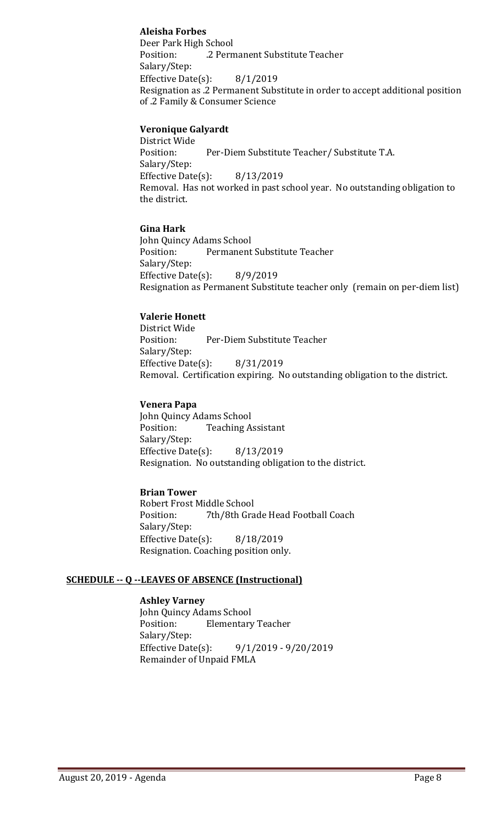# **Aleisha Forbes**

Deer Park High School .2 Permanent Substitute Teacher Salary/Step: Effective Date(s): 8/1/2019 Resignation as .2 Permanent Substitute in order to accept additional position of .2 Family & Consumer Science

#### **Veronique Galyardt**

District Wide Per-Diem Substitute Teacher/ Substitute T.A. Salary/Step: Effective Date(s): 8/13/2019 Removal. Has not worked in past school year. No outstanding obligation to the district.

#### **Gina Hark**

John Quincy Adams School<br>Position: Permanent Permanent Substitute Teacher Salary/Step: Effective Date(s): 8/9/2019 Resignation as Permanent Substitute teacher only (remain on per-diem list)

#### **Valerie Honett**

District Wide<br>Position: Per-Diem Substitute Teacher Salary/Step: Effective Date(s): 8/31/2019 Removal. Certification expiring. No outstanding obligation to the district.

#### **Venera Papa**

John Quincy Adams School<br>Position: Teaching A **Teaching Assistant** Salary/Step: Effective Date(s): 8/13/2019 Resignation. No outstanding obligation to the district.

# **Brian Tower**

Robert Frost Middle School<br>Position: 7th/8th Gra 7th/8th Grade Head Football Coach Salary/Step: Effective Date(s): 8/18/2019 Resignation. Coaching position only.

#### **SCHEDULE -- Q --LEAVES OF ABSENCE (Instructional)**

**Ashley Varney** John Quincy Adams School<br>Position: Elementary **Elementary Teacher** Salary/Step: Effective Date(s): 9/1/2019 - 9/20/2019 Remainder of Unpaid FMLA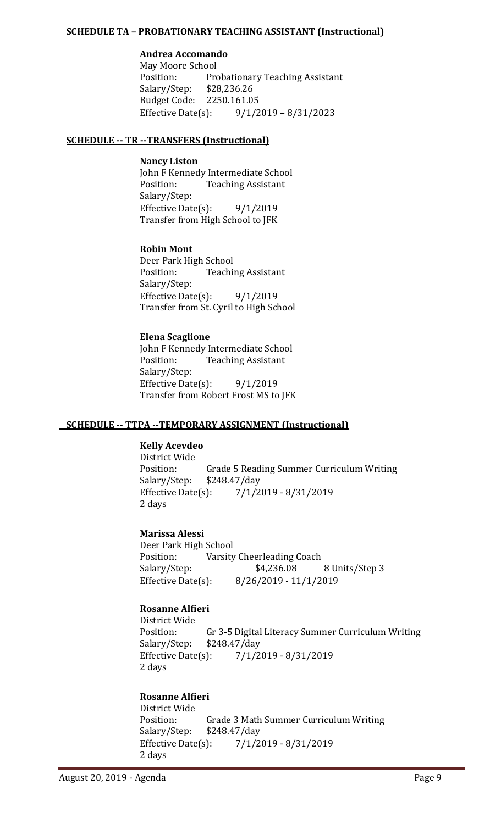# **SCHEDULE TA – PROBATIONARY TEACHING ASSISTANT (Instructional)**

# **Andrea Accomando**

May Moore School<br>Position: Pro Probationary Teaching Assistant<br>\$28,236.26 Salary/Step: Budget Code: 2250.161.05<br>Effective Date(s): 9/1/2  $9/1/2019 - 8/31/2023$ 

#### **SCHEDULE -- TR --TRANSFERS (Instructional)**

#### **Nancy Liston**

John F Kennedy Intermediate School<br>Position: Teaching Assistant **Teaching Assistant** Salary/Step: Effective Date(s):  $9/1/2019$ Transfer from High School to JFK

#### **Robin Mont**

Deer Park High School<br>Position: Teachi **Teaching Assistant** Salary/Step: Effective Date(s):  $9/1/2019$ Transfer from St. Cyril to High School

# **Elena Scaglione**

John F Kennedy Intermediate School<br>Position: Teaching Assistant **Teaching Assistant** Salary/Step: Effective Date $(s)$ : 9/1/2019 Transfer from Robert Frost MS to JFK

# **SCHEDULE -- TTPA --TEMPORARY ASSIGNMENT (Instructional)**

# **Kelly Acevdeo**

District Wide Grade 5 Reading Summer Curriculum Writing<br>\$248.47/day Salary/Step: \$2<br>Effective Date(s): Effective Date(s): 7/1/2019 - 8/31/2019 2 days

# **Marissa Alessi**

Deer Park High School<br>Position: Varsity Position: Varsity Cheerleading Coach<br>Salary/Step: \$4,236.08 Salary/Step: \$4,236.08 8 Units/Step 3<br>Effective Date(s): 8/26/2019 - 11/1/2019 Effective Date(s): 8/26/2019 - 11/1/2019

# **Rosanne Alfieri**

District Wide Gr 3-5 Digital Literacy Summer Curriculum Writing \$248.47/day Salary/Step: \$248<br>Effective Date(s): Effective Date(s): 7/1/2019 - 8/31/2019 2 days

# **Rosanne Alfieri**

District Wide Grade 3 Math Summer Curriculum Writing<br>\$248.47/day Salary/Step: Effective Date(s): 7/1/2019 - 8/31/2019 2 days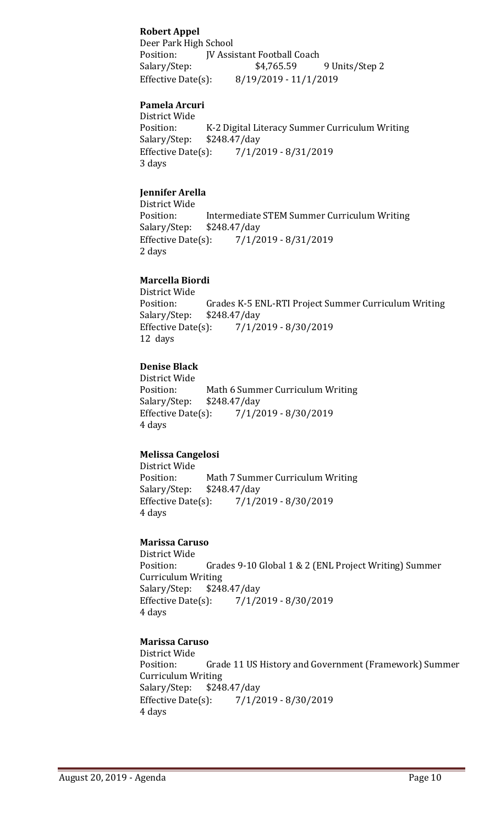# **Robert Appel**

Deer Park High School Position: JV Assistant Football Coach<br>Salary/Step: \$4,765.59 9 Units/Step 2 Effective Date(s): 8/19/2019 - 11/1/2019

## **Pamela Arcuri**

District Wide K-2 Digital Literacy Summer Curriculum Writing \$248.47/day Salary/Step: \$2<br>Effective Date(s): Effective Date(s): 7/1/2019 - 8/31/2019 3 days

# **Jennifer Arella**

District Wide<br>Position: Intermediate STEM Summer Curriculum Writing<br>\$248.47/day Salary/Step: \$2<br>Effective Date(s): Effective Date(s): 7/1/2019 - 8/31/2019 2 days

#### **Marcella Biordi**

District Wide Grades K-5 ENL-RTI Project Summer Curriculum Writing \$248.47/day Salary/Step: \$2<br>Effective Date(s):  $7/1/2019 - 8/30/2019$ 12 days

#### **Denise Black**

District Wide Position: Math 6 Summer Curriculum Writing<br>Salary/Step: \$248.47/day \$248.47/day Effective Date(s): 7/1/2019 - 8/30/2019 4 days

# **Melissa Cangelosi**

District Wide Math 7 Summer Curriculum Writing<br>\$248.47/day Salary/Step: \$2<br>Effective Date(s): Effective Date(s): 7/1/2019 - 8/30/2019 4 days

## **Marissa Caruso**

District Wide Grades 9-10 Global 1 & 2 (ENL Project Writing) Summer Curriculum Writing<br>Salary/Step: \$248.47/day Salary/Step: \$2<br>Effective Date(s): Effective Date(s): 7/1/2019 - 8/30/2019 4 days

# **Marissa Caruso**

District Wide Grade 11 US History and Government (Framework) Summer Curriculum Writing<br>Salary/Step: \$248 Salary/Step: \$248.47/day<br>Effective Date(s): 7/1/2 Effective Date(s): 7/1/2019 - 8/30/2019 4 days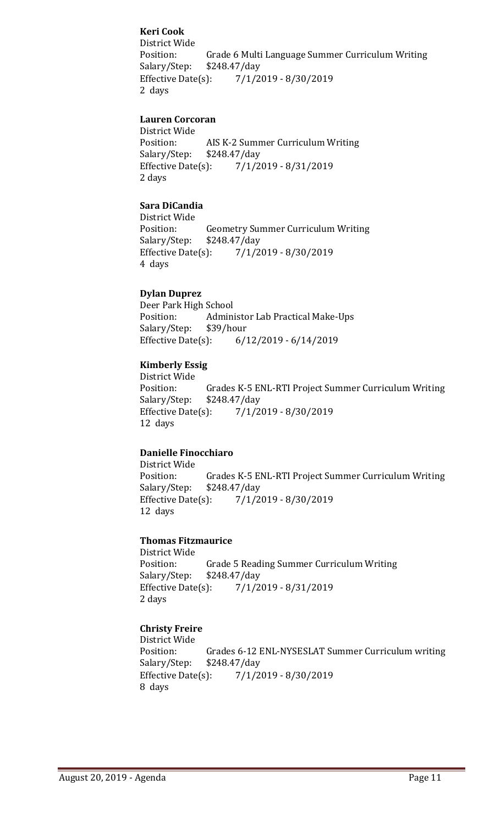# **Keri Cook**

District Wide Grade 6 Multi Language Summer Curriculum Writing \$248.47/day Salary/Step: Effective Date(s): 7/1/2019 - 8/30/2019 2 days

# **Lauren Corcoran**

District Wide<br>Position: Position: AIS K-2 Summer Curriculum Writing<br>Salary/Step: \$248.47/day Salary/Step: \$248.47/day<br>Effective Date(s): 7/1/2 Effective Date(s): 7/1/2019 - 8/31/2019 2 days

# **Sara DiCandia**

District Wide<br>Position: Geometry Summer Curriculum Writing<br>\$248.47/day Salary/Step: \$2<br>Effective Date(s):  $7/1/2019 - 8/30/2019$ 4 days

#### **Dylan Duprez**

Deer Park High School<br>Position: Admin Administor Lab Practical Make-Ups<br>\$39/hour Salary/Step: \$3<br>Effective Date(s): Effective Date(s): 6/12/2019 - 6/14/2019

#### **Kimberly Essig**

District Wide Grades K-5 ENL-RTI Project Summer Curriculum Writing \$248.47/day Salary/Step: \$2<br>Effective Date(s): Effective Date(s): 7/1/2019 - 8/30/2019 12 days

# **Danielle Finocchiaro**

District Wide<br>Position: Grades K-5 ENL-RTI Project Summer Curriculum Writing \$248.47/day Salary/Step: \$2<br>Effective Date(s): Effective Date(s): 7/1/2019 - 8/30/2019 12 days

#### **Thomas Fitzmaurice**

District Wide Position: Grade 5 Reading Summer Curriculum Writing<br>Salary/Step: \$248.47/day \$248.47/day Effective Date(s): 7/1/2019 - 8/31/2019 2 days

# **Christy Freire**

District Wide Grades 6-12 ENL-NYSESLAT Summer Curriculum writing \$248.47/day Salary/Step: Effective Date(s): 7/1/2019 - 8/30/2019 8 days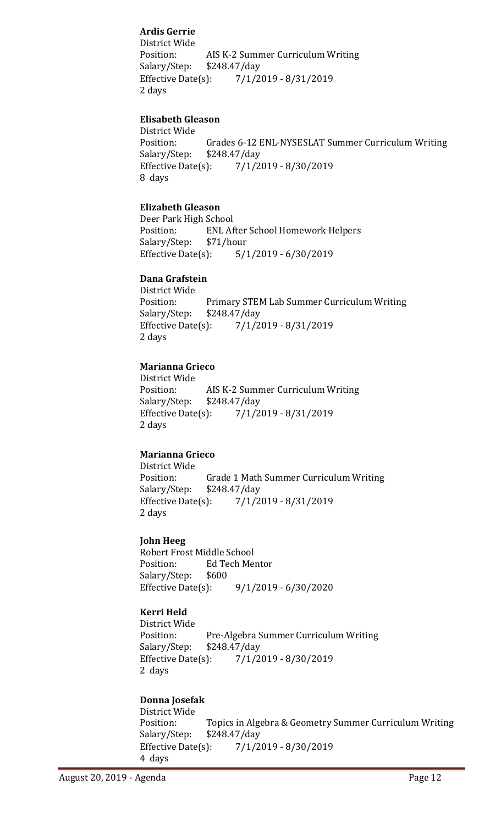# **Ardis Gerrie**

District Wide Position: AIS K-2 Summer Curriculum Writing<br>Salary/Step: \$248.47/day Salary/Step: \$248.47/day<br>Effective Date(s): 7/1/2 Effective Date(s): 7/1/2019 - 8/31/2019 2 days

# **Elisabeth Gleason**

District Wide Position: Grades 6-12 ENL-NYSESLAT Summer Curriculum Writing<br>Salary/Step: \$248.47/day \$248.47/day Effective Date(s): 7/1/2019 - 8/30/2019 8 days

# **Elizabeth Gleason**

Deer Park High School<br>Position: ENL Af ENL After School Homework Helpers<br>\$71/hour Salary/Step: \$7<br>Effective Date(s):  $5/1/2019 - 6/30/2019$ 

# **Dana Grafstein**

District Wide Primary STEM Lab Summer Curriculum Writing \$248.47/day Salary/Step: Effective Date(s): 7/1/2019 - 8/31/2019 2 days

# **Marianna Grieco**

District Wide AIS K-2 Summer Curriculum Writing<br>\$248.47/day Salary/Step: \$2<br>Effective Date(s): Effective Date(s): 7/1/2019 - 8/31/2019 2 days

# **Marianna Grieco**

District Wide Position: Grade 1 Math Summer Curriculum Writing<br>Salary/Step: \$248.47/day Salary/Step: \$248.47/day<br>Effective Date(s): 7/1/2 Effective Date(s): 7/1/2019 - 8/31/2019 2 days

#### **John Heeg**

Robert Frost Middle School<br>Position: Ed Tech Me Ed Tech Mentor<br>\$600 Salary/Step: Effective Date(s): 9/1/2019 - 6/30/2020

# **Kerri Held**

District Wide Pre-Algebra Summer Curriculum Writing<br>\$248.47/day Salary/Step: \$2<br>Effective Date(s): Effective Date(s): 7/1/2019 - 8/30/2019 2 days

# **Donna Josefak**

District Wide<br>Position: Topics in Algebra & Geometry Summer Curriculum Writing \$248.47/day Salary/Step: \$2<br>Effective Date(s): Effective Date(s): 7/1/2019 - 8/30/2019 4 days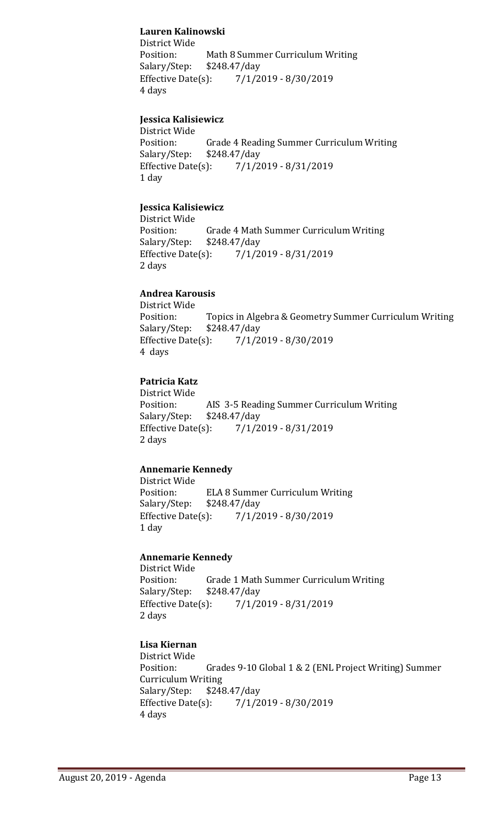# **Lauren Kalinowski**

District Wide Math 8 Summer Curriculum Writing<br>\$248.47/day Salary/Step: \$2<br>Effective Date(s): Effective Date(s): 7/1/2019 - 8/30/2019 4 days

# **Jessica Kalisiewicz**

District Wide<br>Position: Position: Grade 4 Reading Summer Curriculum Writing<br>Salary/Step: \$248.47/day \$248.47/day Effective Date(s): 7/1/2019 - 8/31/2019 1 day

# **Jessica Kalisiewicz**

District Wide Position: Grade 4 Math Summer Curriculum Writing<br>Salary/Step: \$248.47/day \$248.47/day Effective Date(s): 7/1/2019 - 8/31/2019 2 days

# **Andrea Karousis**

District Wide<br>Position: Position: Topics in Algebra & Geometry Summer Curriculum Writing<br>Salary/Step: \$248.47/day Salary/Step: \$248.47/day<br>Effective Date(s): 7/1/2 Effective Date(s): 7/1/2019 - 8/30/2019 4 days

# **Patricia Katz**

District Wide<br>Position: AIS 3-5 Reading Summer Curriculum Writing \$248.47/day Salary/Step: Effective Date(s): 7/1/2019 - 8/31/2019 2 days

# **Annemarie Kennedy**

District Wide ELA 8 Summer Curriculum Writing<br>\$248.47/day Salary/Step: \$2<br>Effective Date(s):  $7/1/2019 - 8/30/2019$ 1 day

# **Annemarie Kennedy**

District Wide Grade 1 Math Summer Curriculum Writing<br>\$248.47/day Salary/Step: \$2<br>Effective Date(s): Effective Date(s): 7/1/2019 - 8/31/2019 2 days

# **Lisa Kiernan**

District Wide Grades 9-10 Global 1 & 2 (ENL Project Writing) Summer Curriculum Writing<br>Salary/Step: \$248 Salary/Step: \$248.47/day<br>Effective Date(s): 7/1/2 Effective Date(s): 7/1/2019 - 8/30/2019 4 days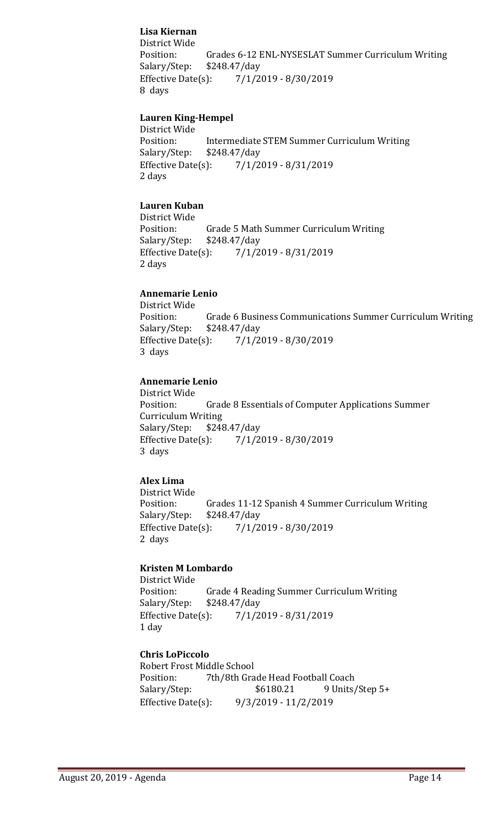# **Lisa Kiernan**

District Wide Grades 6-12 ENL-NYSESLAT Summer Curriculum Writing \$248.47/day Salary/Step: \$2<br>Effective Date(s): Effective Date(s): 7/1/2019 - 8/30/2019 8 days

# **Lauren King-Hempel**

District Wide<br>Position: Position: Intermediate STEM Summer Curriculum Writing<br>Salary/Step: \$248.47/day Salary/Step: \$248.47/day<br>Effective Date(s): 7/1/2 Effective Date(s): 7/1/2019 - 8/31/2019 2 days

# **Lauren Kuban**

District Wide<br>Position: Grade 5 Math Summer Curriculum Writing<br>\$248.47/day Salary/Step: \$2<br>Effective Date(s): Effective Date(s): 7/1/2019 - 8/31/2019 2 days

# **Annemarie Lenio**

District Wide<br>Position: Position: Grade 6 Business Communications Summer Curriculum Writing<br>Salary/Step: \$248.47/day Salary/Step: \$248.47/day<br>Effective Date(s): 7/1/2 Effective Date(s): 7/1/2019 - 8/30/2019 3 days

# **Annemarie Lenio**

District Wide<br>Position: Grade 8 Essentials of Computer Applications Summer Curriculum Writing<br>Salary/Step: \$248.47/day Salary/Step: \$2<br>Effective Date(s):  $7/1/2019 - 8/30/2019$ 3 days

# **Alex Lima**

District Wide<br>Position: Grades 11-12 Spanish 4 Summer Curriculum Writing \$248.47/day Salary/Step: Effective Date(s): 7/1/2019 - 8/30/2019 2 days

# **Kristen M Lombardo**

District Wide<br>Position: Grade 4 Reading Summer Curriculum Writing<br>\$248.47/day Salary/Step: \$2<br>Effective Date(s): Effective Date(s): 7/1/2019 - 8/31/2019 1 day

# **Chris LoPiccolo**

Robert Frost Middle School<br>Position: 7th/8th Gra Position: 7th/8th Grade Head Football Coach<br>Salary/Step: \$6180.21 9 Units 9 Units/Step 5+ Effective Date(s): 9/3/2019 - 11/2/2019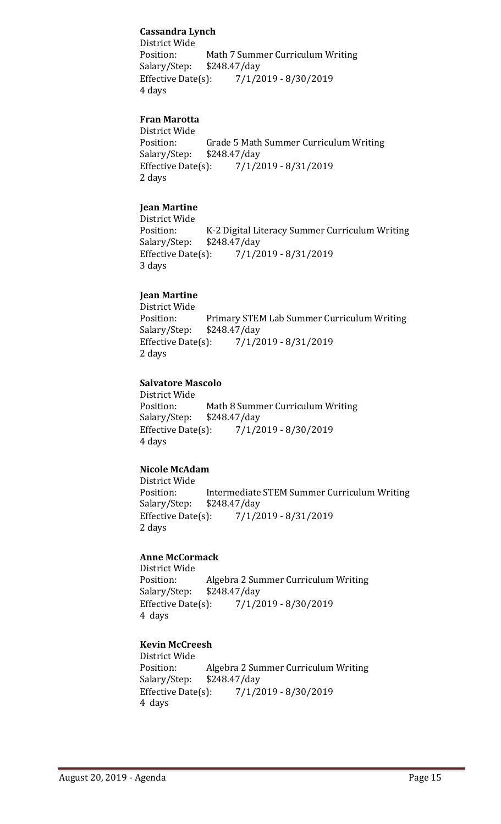# **Cassandra Lynch**

District Wide Position: Math 7 Summer Curriculum Writing<br>Salary/Step: \$248.47/day \$248.47/day Effective Date(s): 7/1/2019 - 8/30/2019 4 days

# **Fran Marotta**

District Wide Position: Grade 5 Math Summer Curriculum Writing<br>Salary/Step: \$248.47/day \$248.47/day Effective Date(s): 7/1/2019 - 8/31/2019 2 days

# **Jean Martine**

District Wide<br>Position: Position: K-2 Digital Literacy Summer Curriculum Writing<br>Salary/Step: \$248.47/day \$248.47/day Effective Date(s): 7/1/2019 - 8/31/2019 3 days

#### **Jean Martine**

District Wide Position: Primary STEM Lab Summer Curriculum Writing<br>Salary/Step: \$248.47/day Salary/Step: \$248.47/day<br>Effective Date(s): 7/1/2 Effective Date(s): 7/1/2019 - 8/31/2019 2 days

#### **Salvatore Mascolo**

District Wide<br>Position: Math 8 Summer Curriculum Writing<br>\$248.47/day Salary/Step: \$2<br>Effective Date(s):  $7/1/2019 - 8/30/2019$ 4 days

# **Nicole McAdam**

District Wide Intermediate STEM Summer Curriculum Writing<br>\$248.47/day Salary/Step: \$2<br>Effective Date(s): Effective Date(s): 7/1/2019 - 8/31/2019 2 days

#### **Anne McCormack**

District Wide Algebra 2 Summer Curriculum Writing<br>\$248.47/day Salary/Step: \$2<br>Effective Date(s): Effective Date(s): 7/1/2019 - 8/30/2019 4 days

#### **Kevin McCreesh**

District Wide Algebra 2 Summer Curriculum Writing<br>\$248.47/day Salary/Step: Effective Date(s): 7/1/2019 - 8/30/2019 4 days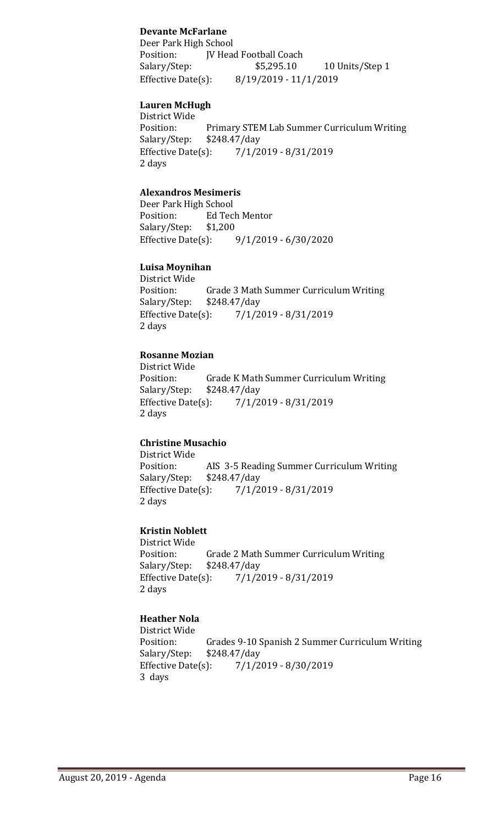# **Devante McFarlane**

Deer Park High School<br>Position: [V Head Position: JV Head Football Coach<br>Salary/Step: \$5,295.10 10 Units/Step 1 Effective Date(s): 8/19/2019 - 11/1/2019

#### **Lauren McHugh**

District Wide Primary STEM Lab Summer Curriculum Writing<br>\$248.47/day Salary/Step: \$2<br>Effective Date(s): Effective Date(s): 7/1/2019 - 8/31/2019 2 days

# **Alexandros Mesimeris**

Deer Park High School<br>Position: Ed Tec Ed Tech Mentor<br>\$1,200 Salary/Step: \$1<br>Effective Date(s): Effective Date(s): 9/1/2019 - 6/30/2020

# **Luisa Moynihan**

District Wide Grade 3 Math Summer Curriculum Writing<br>\$248.47/day Salary/Step: \$2<br>Effective Date(s): Effective Date(s): 7/1/2019 - 8/31/2019 2 days

#### **Rosanne Mozian**

District Wide Position: Grade K Math Summer Curriculum Writing<br>Salary/Step: \$248.47/day Salary/Step: \$248.47/day<br>Effective Date(s): 7/1/2 Effective Date(s): 7/1/2019 - 8/31/2019 2 days

# **Christine Musachio**

District Wide<br>Position: Position: AIS 3-5 Reading Summer Curriculum Writing<br>Salary/Step: \$248.47/day Salary/Step: \$248.47/day<br>Effective Date(s): 7/1/2  $7/1/2019 - 8/31/2019$ 2 days

# **Kristin Noblett**

District Wide<br>Position: Grade 2 Math Summer Curriculum Writing<br>\$248.47/day Salary/Step: \$2<br>Effective Date(s): Effective Date(s): 7/1/2019 - 8/31/2019 2 days

# **Heather Nola**

District Wide<br>Position: Position: Grades 9-10 Spanish 2 Summer Curriculum Writing<br>Salary/Step: \$248.47/day Salary/Step: \$248.47/day<br>Effective Date(s): 7/1/2  $7/1/2019 - 8/30/2019$ 3 days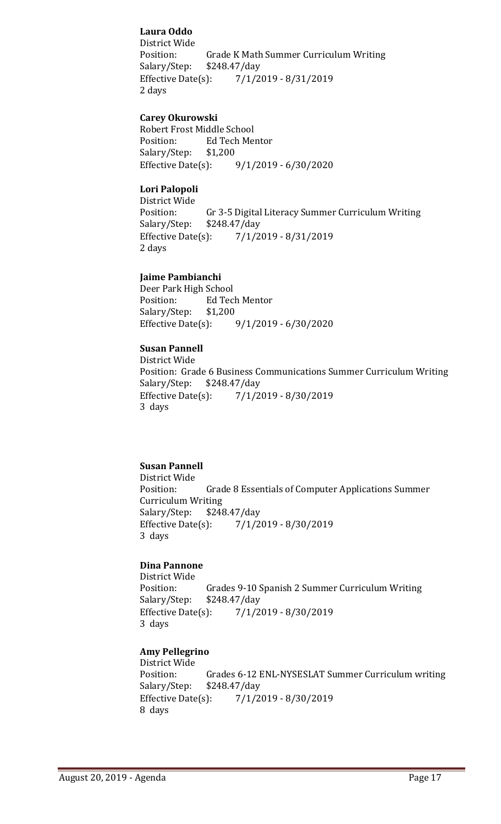# **Laura Oddo**

District Wide Grade K Math Summer Curriculum Writing<br>\$248.47/day Salary/Step: Effective Date(s): 7/1/2019 - 8/31/2019 2 days

# **Carey Okurowski**

Robert Frost Middle School<br>Position: Ed Tech Mer Ed Tech Mentor<br>\$1,200 Salary/Step: \$1<br>Effective Date(s): Effective Date(s): 9/1/2019 - 6/30/2020

# **Lori Palopoli**

District Wide Position: Gr 3-5 Digital Literacy Summer Curriculum Writing<br>Salary/Step: \$248.47/day Salary/Step: \$248.47/day<br>Effective Date(s): 7/1/2  $7/1/2019 - 8/31/2019$ 2 days

# **Jaime Pambianchi**

Deer Park High School<br>Position: Ed Tec Ed Tech Mentor<br>\$1,200 Salary/Step: \$1,<br>Effective Date(s):  $9/1/2019 - 6/30/2020$ 

# **Susan Pannell**

District Wide Position: Grade 6 Business Communications Summer Curriculum Writing<br>Salary/Step: \$248.47/day Salary/Step: \$2<br>Effective Date(s): Effective Date(s): 7/1/2019 - 8/30/2019 3 days

# **Susan Pannell**

District Wide<br>Position: Grade 8 Essentials of Computer Applications Summer Curriculum Writing<br>Salary/Step: \$248 Salary/Step: \$248.47/day<br>Effective Date(s): 7/1/2 Effective Date(s): 7/1/2019 - 8/30/2019 3 days

# **Dina Pannone**

District Wide Position: Grades 9-10 Spanish 2 Summer Curriculum Writing<br>Salary/Step: \$248.47/day \$248.47/day Effective Date(s): 7/1/2019 - 8/30/2019 3 days

# **Amy Pellegrino**

District Wide Position: Grades 6-12 ENL-NYSESLAT Summer Curriculum writing<br>Salary/Step: \$248.47/day Salary/Step: \$248.47/day<br>Effective Date(s): 7/1/2  $7/1/2019 - 8/30/2019$ 8 days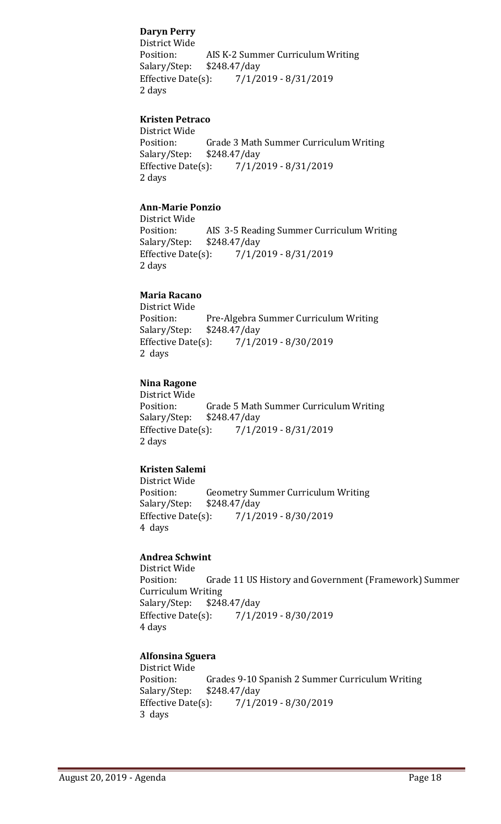# **Daryn Perry**

District Wide Position: AIS K-2 Summer Curriculum Writing<br>Salary/Step: \$248.47/day \$248.47/day Effective Date(s): 7/1/2019 - 8/31/2019 2 days

# **Kristen Petraco**

District Wide Position: Grade 3 Math Summer Curriculum Writing<br>Salary/Step: \$248.47/day \$248.47/day Effective Date(s): 7/1/2019 - 8/31/2019 2 days

# **Ann-Marie Ponzio**

District Wide Position: AIS 3-5 Reading Summer Curriculum Writing<br>Salary/Step: \$248.47/day \$248.47/day Effective Date(s): 7/1/2019 - 8/31/2019 2 days

# **Maria Racano**

District Wide Position: Pre-Algebra Summer Curriculum Writing<br>Salary/Step: \$248.47/day Salary/Step: \$248.47/day<br>Effective Date(s): 7/1/2 Effective Date(s): 7/1/2019 - 8/30/2019 2 days

#### **Nina Ragone**

District Wide Position: Grade 5 Math Summer Curriculum Writing<br>Salary/Step: \$248.47/day Salary/Step: \$248.47/day<br>Effective Date(s): 7/1/2  $7/1/2019 - 8/31/2019$ 2 days

# **Kristen Salemi**

District Wide Position: Geometry Summer Curriculum Writing<br>Salary/Step: \$248.47/day Salary/Step: \$248.47/day<br>Effective Date(s): 7/1/2 Effective Date(s): 7/1/2019 - 8/30/2019 4 days

#### **Andrea Schwint**

District Wide Grade 11 US History and Government (Framework) Summer Curriculum Writing<br>Salary/Step: \$248 Salary/Step: \$248.47/day<br>Effective Date(s): 7/1/2 Effective Date(s): 7/1/2019 - 8/30/2019 4 days

#### **Alfonsina Sguera**

District Wide Grades 9-10 Spanish 2 Summer Curriculum Writing \$248.47/day Salary/Step: \$2<br>Effective Date(s): Effective Date(s): 7/1/2019 - 8/30/2019 3 days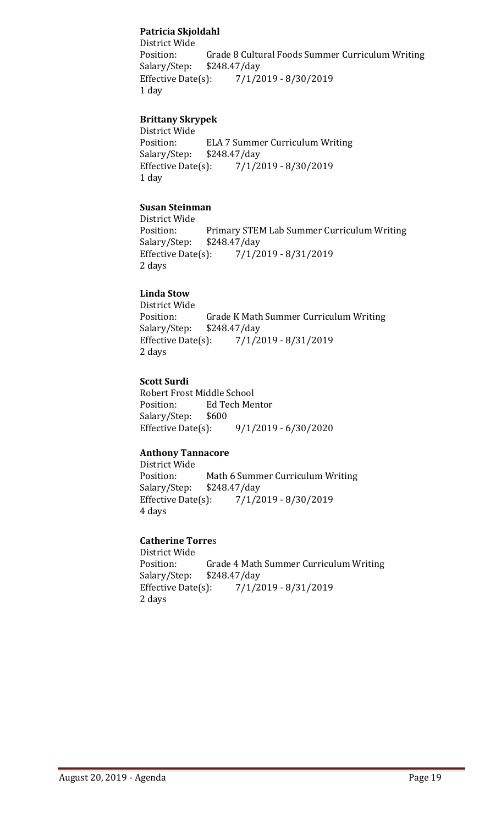# **Patricia Skjoldahl**

District Wide Grade 8 Cultural Foods Summer Curriculum Writing \$248.47/day Salary/Step: Effective Date(s): 7/1/2019 - 8/30/2019 1 day

# **Brittany Skrypek**

District Wide Position: ELA 7 Summer Curriculum Writing<br>Salary/Step: \$248.47/day \$248.47/day Effective Date(s): 7/1/2019 - 8/30/2019 1 day

# **Susan Steinman**

District Wide Position: Primary STEM Lab Summer Curriculum Writing<br>Salary/Step: \$248.47/day Salary/Step: \$248.47/day<br>Effective Date(s): 7/1/2 Effective Date(s): 7/1/2019 - 8/31/2019 2 days

# **Linda Stow**

District Wide Grade K Math Summer Curriculum Writing<br>\$248.47/day Salary/Step: \$2<br>Effective Date(s): Effective Date(s): 7/1/2019 - 8/31/2019 2 days

# **Scott Surdi**

Robert Frost Middle School<br>Position: Ed Tech Mer Ed Tech Mentor<br>\$600 Salary/Step: Effective Date(s): 9/1/2019 - 6/30/2020

# **Anthony Tannacore**

District Wide<br>Position: Math 6 Summer Curriculum Writing<br>\$248.47/day Salary/Step: \$2<br>Effective Date(s): Effective Date(s): 7/1/2019 - 8/30/2019 4 days

# **Catherine Torre**s

District Wide Grade 4 Math Summer Curriculum Writing<br>\$248.47/day Salary/Step: Effective Date(s): 7/1/2019 - 8/31/2019 2 days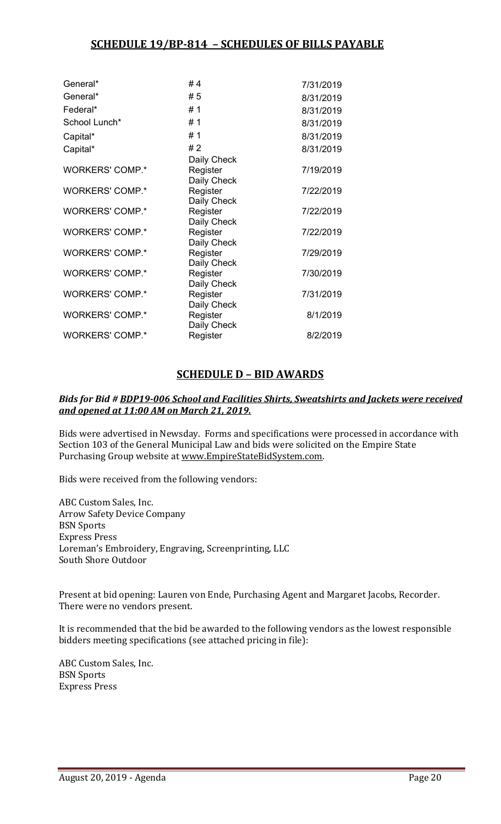| General*               | #4                      | 7/31/2019 |
|------------------------|-------------------------|-----------|
| General*               | # 5                     | 8/31/2019 |
| Federal*               | #1                      | 8/31/2019 |
| School Lunch*          | #1                      | 8/31/2019 |
| Capital*               | #1                      | 8/31/2019 |
| Capital*               | #2                      | 8/31/2019 |
|                        | Daily Check             |           |
| <b>WORKERS' COMP.*</b> | Register                | 7/19/2019 |
|                        | Daily Check             |           |
| <b>WORKERS' COMP.*</b> | Register                | 7/22/2019 |
| <b>WORKERS' COMP.*</b> | Daily Check<br>Register | 7/22/2019 |
|                        | Daily Check             |           |
| <b>WORKERS' COMP.*</b> | Register                | 7/22/2019 |
|                        | Daily Check             |           |
| <b>WORKERS' COMP.*</b> | Register                | 7/29/2019 |
|                        | Daily Check             |           |
| <b>WORKERS' COMP.*</b> | Register                | 7/30/2019 |
|                        | Daily Check             |           |
| <b>WORKERS' COMP.*</b> | Register                | 7/31/2019 |
|                        | Daily Check             |           |
| <b>WORKERS' COMP.*</b> | Register                | 8/1/2019  |
|                        | Daily Check             |           |
| <b>WORKERS' COMP.*</b> | Register                | 8/2/2019  |

# **SCHEDULE D – BID AWARDS**

# *Bids for Bid # BDP19-006 School and Facilities Shirts, Sweatshirts and Jackets were received and opened at 11:00 AM on March 21, 2019.*

Bids were advertised in Newsday. Forms and specifications were processed in accordance with Section 103 of the General Municipal Law and bids were solicited on the Empire State Purchasing Group website at [www.EmpireStateBidSystem.com.](http://www.empirestatebidsystem.com/)

Bids were received from the following vendors:

ABC Custom Sales, Inc. Arrow Safety Device Company BSN Sports Express Press Loreman's Embroidery, Engraving, Screenprinting, LLC South Shore Outdoor

Present at bid opening: Lauren von Ende, Purchasing Agent and Margaret Jacobs, Recorder. There were no vendors present.

It is recommended that the bid be awarded to the following vendors as the lowest responsible bidders meeting specifications (see attached pricing in file):

ABC Custom Sales, Inc. BSN Sports Express Press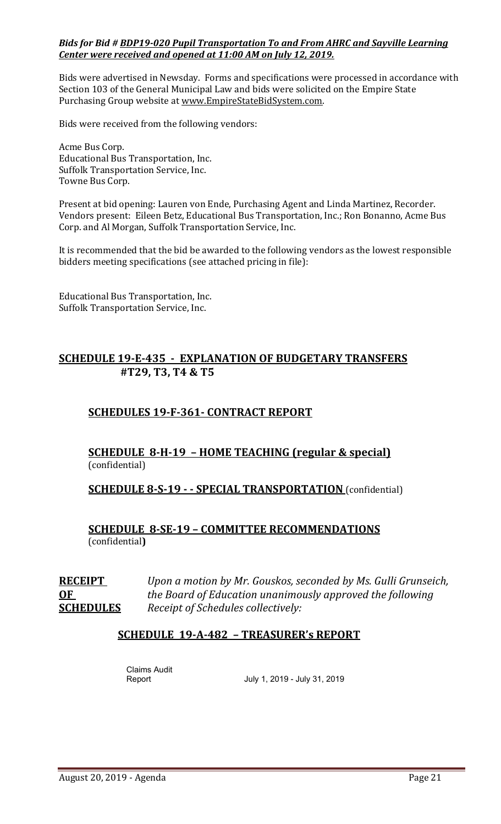# *Bids for Bid # BDP19-020 Pupil Transportation To and From AHRC and Sayville Learning Center were received and opened at 11:00 AM on July 12, 2019.*

Bids were advertised in Newsday. Forms and specifications were processed in accordance with Section 103 of the General Municipal Law and bids were solicited on the Empire State Purchasing Group website at [www.EmpireStateBidSystem.com.](http://www.empirestatebidsystem.com/)

Bids were received from the following vendors:

Acme Bus Corp. Educational Bus Transportation, Inc. Suffolk Transportation Service, Inc. Towne Bus Corp.

Present at bid opening: Lauren von Ende, Purchasing Agent and Linda Martinez, Recorder. Vendors present: Eileen Betz, Educational Bus Transportation, Inc.; Ron Bonanno, Acme Bus Corp. and Al Morgan, Suffolk Transportation Service, Inc.

It is recommended that the bid be awarded to the following vendors as the lowest responsible bidders meeting specifications (see attached pricing in file):

Educational Bus Transportation, Inc. Suffolk Transportation Service, Inc.

# **SCHEDULE 19-E-435 - EXPLANATION OF BUDGETARY TRANSFERS #T29, T3, T4 & T5**

# **SCHEDULES 19-F-361- CONTRACT REPORT**

# **SCHEDULE 8-H-19 – HOME TEACHING (regular & special)** (confidential)

**SCHEDULE 8-S-19 - - SPECIAL TRANSPORTATION** (confidential)

**SCHEDULE 8-SE-19 – COMMITTEE RECOMMENDATIONS** (confidential**)**

**RECEIPT** *Upon a motion by Mr. Gouskos, seconded by Ms. Gulli Grunseich,* **OF** *the Board of Education unanimously approved the following*  **SCHEDULES** *Receipt of Schedules collectively:*

# **SCHEDULE 19-A-482 – TREASURER's REPORT**

Claims Audit

July 1, 2019 - July 31, 2019